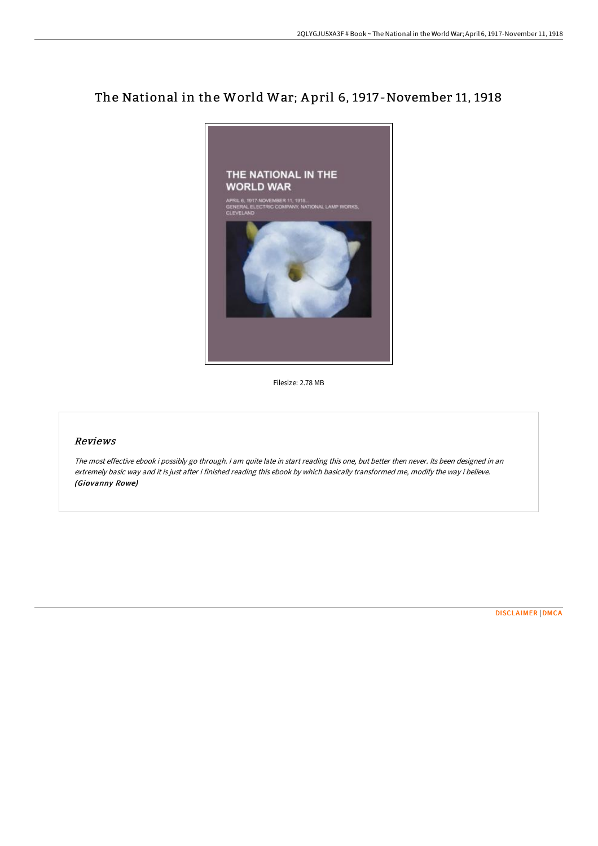## The National in the World War; A pril 6, 1917-November 11, 1918



Filesize: 2.78 MB

## Reviews

The most effective ebook i possibly go through. <sup>I</sup> am quite late in start reading this one, but better then never. Its been designed in an extremely basic way and it is just after i finished reading this ebook by which basically transformed me, modify the way i believe. (Giovanny Rowe)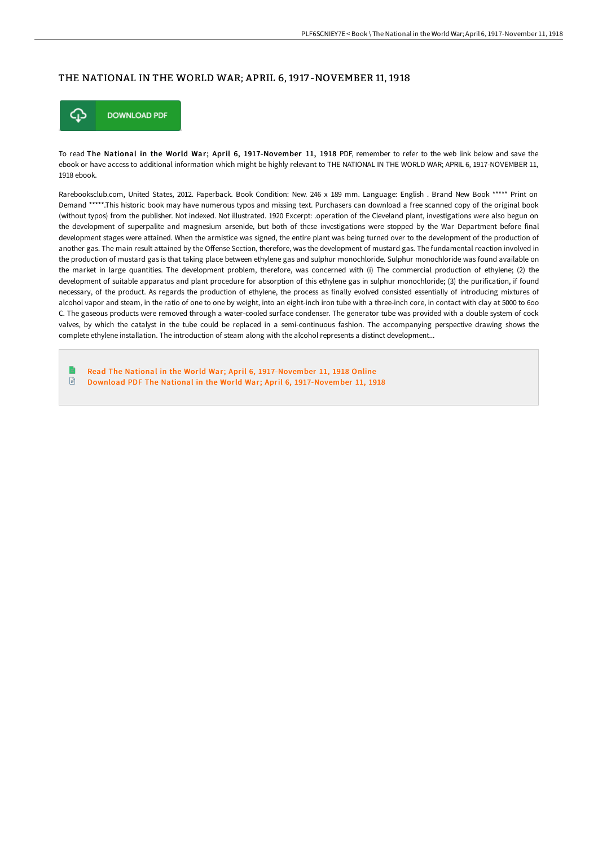## THE NATIONAL IN THE WORLD WAR; APRIL 6, 1917 -NOVEMBER 11, 1918



To read The National in the World War; April 6, 1917-November 11, 1918 PDF, remember to refer to the web link below and save the ebook or have access to additional information which might be highly relevant to THE NATIONAL IN THE WORLD WAR; APRIL 6, 1917-NOVEMBER 11, 1918 ebook.

Rarebooksclub.com, United States, 2012. Paperback. Book Condition: New. 246 x 189 mm. Language: English . Brand New Book \*\*\*\*\* Print on Demand \*\*\*\*\*.This historic book may have numerous typos and missing text. Purchasers can download a free scanned copy of the original book (without typos) from the publisher. Not indexed. Not illustrated. 1920 Excerpt: .operation of the Cleveland plant, investigations were also begun on the development of superpalite and magnesium arsenide, but both of these investigations were stopped by the War Department before final development stages were attained. When the armistice was signed, the entire plant was being turned over to the development of the production of another gas. The main result attained by the Offense Section, therefore, was the development of mustard gas. The fundamental reaction involved in the production of mustard gas is that taking place between ethylene gas and sulphur monochloride. Sulphur monochloride was found available on the market in large quantities. The development problem, therefore, was concerned with (i) The commercial production of ethylene; (2) the development of suitable apparatus and plant procedure for absorption of this ethylene gas in sulphur monochloride; (3) the purification, if found necessary, of the product. As regards the production of ethylene, the process as finally evolved consisted essentially of introducing mixtures of alcohol vapor and steam, in the ratio of one to one by weight, into an eight-inch iron tube with a three-inch core, in contact with clay at 5000 to 6oo C. The gaseous products were removed through a water-cooled surface condenser. The generator tube was provided with a double system of cock valves, by which the catalyst in the tube could be replaced in a semi-continuous fashion. The accompanying perspective drawing shows the complete ethylene installation. The introduction of steam along with the alcohol represents a distinct development...

Read The National in the World War; April 6, [1917-November](http://techno-pub.tech/the-national-in-the-world-war-april-6-1917-novem.html) 11, 1918 Online  $\mathbf{r}$ Download PDF The National in the World War; April 6, [1917-November](http://techno-pub.tech/the-national-in-the-world-war-april-6-1917-novem.html) 11, 1918